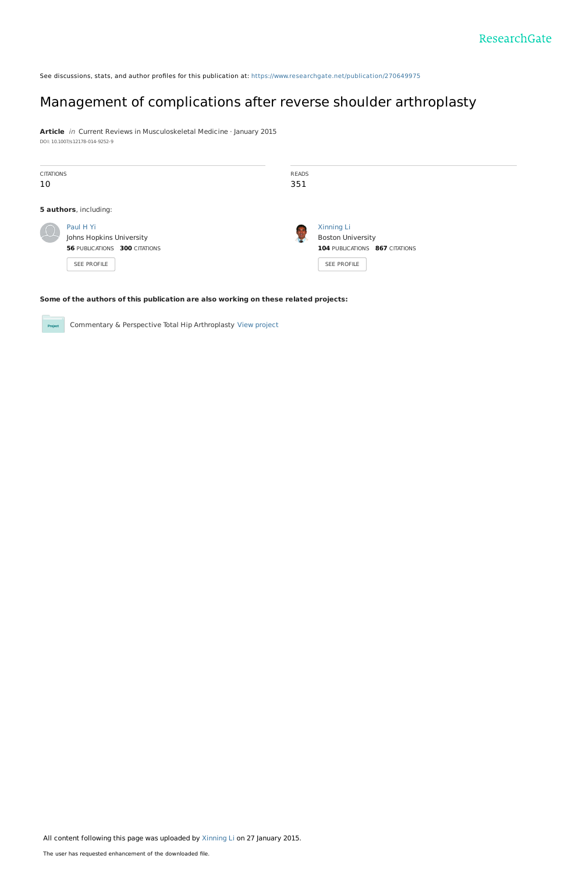See discussions, stats, and author profiles for this publication at: [https://www.researchgate.net/publication/270649975](https://www.researchgate.net/publication/270649975_Management_of_complications_after_reverse_shoulder_arthroplasty?enrichId=rgreq-bdff880e6d738e6ac5360e31d6534d01-XXX&enrichSource=Y292ZXJQYWdlOzI3MDY0OTk3NTtBUzoxOTAzMTE1NTI3ODIzMzdAMTQyMjM4NTIxODQzMA%3D%3D&el=1_x_2&_esc=publicationCoverPdf)

# Management of [complications](https://www.researchgate.net/publication/270649975_Management_of_complications_after_reverse_shoulder_arthroplasty?enrichId=rgreq-bdff880e6d738e6ac5360e31d6534d01-XXX&enrichSource=Y292ZXJQYWdlOzI3MDY0OTk3NTtBUzoxOTAzMTE1NTI3ODIzMzdAMTQyMjM4NTIxODQzMA%3D%3D&el=1_x_3&_esc=publicationCoverPdf) after reverse shoulder arthroplasty

**Article** in Current Reviews in Musculoskeletal Medicine · January 2015 DOI: 10.1007/s12178-014-9252-9

| <b>CITATIONS</b>              | <b>READS</b>                   |
|-------------------------------|--------------------------------|
| 10                            | 351                            |
| 5 authors, including:         |                                |
| Paul H Yi                     | Xinning Li                     |
| Johns Hopkins University      | <b>Boston University</b>       |
| 56 PUBLICATIONS 300 CITATIONS | 104 PUBLICATIONS 867 CITATIONS |
| <b>SEE PROFILE</b>            | <b>SEE PROFILE</b>             |

### **Some of the authors of this publication are also working on these related projects:**



Commentary & Perspective Total Hip Arthroplasty View [project](https://www.researchgate.net/project/Commentary-Perspective-Total-Hip-Arthroplasty?enrichId=rgreq-bdff880e6d738e6ac5360e31d6534d01-XXX&enrichSource=Y292ZXJQYWdlOzI3MDY0OTk3NTtBUzoxOTAzMTE1NTI3ODIzMzdAMTQyMjM4NTIxODQzMA%3D%3D&el=1_x_9&_esc=publicationCoverPdf)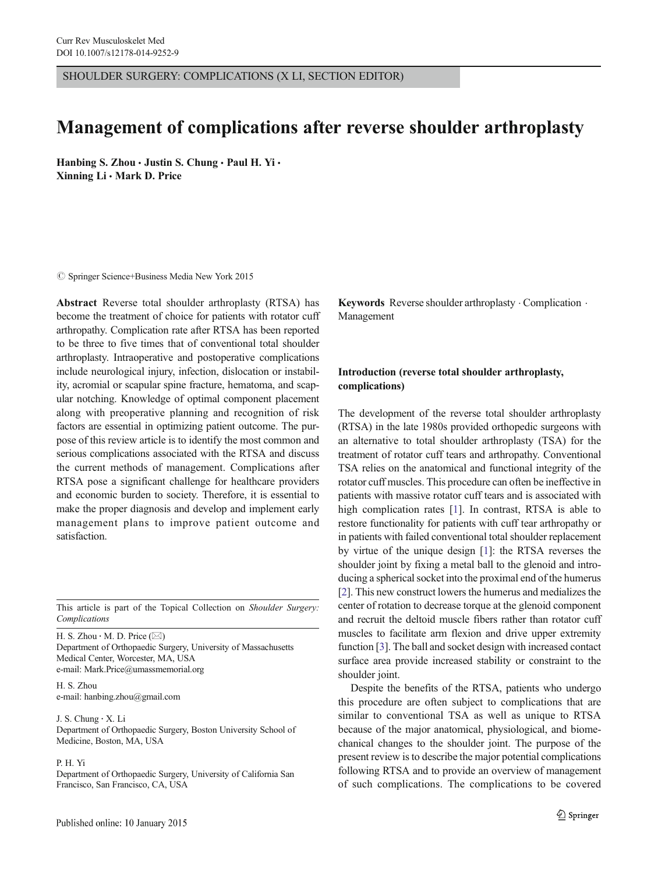SHOULDER SURGERY: COMPLICATIONS (X LI, SECTION EDITOR)

## Management of complications after reverse shoulder arthroplasty

Hanbing S. Zhou  $\cdot$  Justin S. Chung  $\cdot$  Paul H. Yi  $\cdot$ Xinning Li & Mark D. Price

 $\circled{c}$  Springer Science+Business Media New York 2015

Abstract Reverse total shoulder arthroplasty (RTSA) has become the treatment of choice for patients with rotator cuff arthropathy. Complication rate after RTSA has been reported to be three to five times that of conventional total shoulder arthroplasty. Intraoperative and postoperative complications include neurological injury, infection, dislocation or instability, acromial or scapular spine fracture, hematoma, and scapular notching. Knowledge of optimal component placement along with preoperative planning and recognition of risk factors are essential in optimizing patient outcome. The purpose of this review article is to identify the most common and serious complications associated with the RTSA and discuss the current methods of management. Complications after RTSA pose a significant challenge for healthcare providers and economic burden to society. Therefore, it is essential to make the proper diagnosis and develop and implement early management plans to improve patient outcome and satisfaction.

This article is part of the Topical Collection on Shoulder Surgery: Complications

H. S. Zhou  $\cdot$  M. D. Price ( $\boxtimes$ ) Department of Orthopaedic Surgery, University of Massachusetts Medical Center, Worcester, MA, USA e-mail: Mark.Price@umassmemorial.org

H. S. Zhou e-mail: hanbing.zhou@gmail.com

J. S. Chung : X. Li Department of Orthopaedic Surgery, Boston University School of Medicine, Boston, MA, USA

P. H. Yi

Department of Orthopaedic Surgery, University of California San Francisco, San Francisco, CA, USA

Keywords Reverse shoulder arthroplasty  $\cdot$  Complication  $\cdot$ Management

## Introduction (reverse total shoulder arthroplasty, complications)

The development of the reverse total shoulder arthroplasty (RTSA) in the late 1980s provided orthopedic surgeons with an alternative to total shoulder arthroplasty (TSA) for the treatment of rotator cuff tears and arthropathy. Conventional TSA relies on the anatomical and functional integrity of the rotator cuff muscles. This procedure can often be ineffective in patients with massive rotator cuff tears and is associated with high complication rates [\[1](#page-5-0)]. In contrast, RTSA is able to restore functionality for patients with cuff tear arthropathy or in patients with failed conventional total shoulder replacement by virtue of the unique design [[1\]](#page-5-0): the RTSA reverses the shoulder joint by fixing a metal ball to the glenoid and introducing a spherical socket into the proximal end of the humerus [\[2](#page-5-0)]. This new construct lowers the humerus and medializes the center of rotation to decrease torque at the glenoid component and recruit the deltoid muscle fibers rather than rotator cuff muscles to facilitate arm flexion and drive upper extremity function [\[3](#page-5-0)]. The ball and socket design with increased contact surface area provide increased stability or constraint to the shoulder joint.

Despite the benefits of the RTSA, patients who undergo this procedure are often subject to complications that are similar to conventional TSA as well as unique to RTSA because of the major anatomical, physiological, and biomechanical changes to the shoulder joint. The purpose of the present review is to describe the major potential complications following RTSA and to provide an overview of management of such complications. The complications to be covered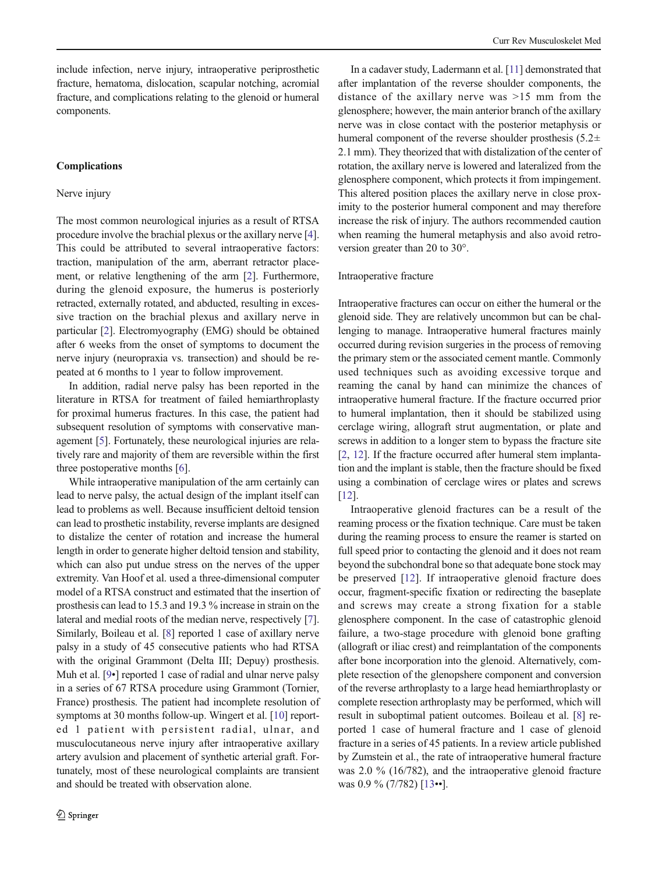include infection, nerve injury, intraoperative periprosthetic fracture, hematoma, dislocation, scapular notching, acromial fracture, and complications relating to the glenoid or humeral components.

#### Complications

#### Nerve injury

The most common neurological injuries as a result of RTSA procedure involve the brachial plexus or the axillary nerve [[4\]](#page-5-0). This could be attributed to several intraoperative factors: traction, manipulation of the arm, aberrant retractor placement, or relative lengthening of the arm [\[2](#page-5-0)]. Furthermore, during the glenoid exposure, the humerus is posteriorly retracted, externally rotated, and abducted, resulting in excessive traction on the brachial plexus and axillary nerve in particular [\[2\]](#page-5-0). Electromyography (EMG) should be obtained after 6 weeks from the onset of symptoms to document the nerve injury (neuropraxia vs. transection) and should be repeated at 6 months to 1 year to follow improvement.

In addition, radial nerve palsy has been reported in the literature in RTSA for treatment of failed hemiarthroplasty for proximal humerus fractures. In this case, the patient had subsequent resolution of symptoms with conservative management [[5\]](#page-5-0). Fortunately, these neurological injuries are relatively rare and majority of them are reversible within the first three postoperative months [\[6\]](#page-5-0).

While intraoperative manipulation of the arm certainly can lead to nerve palsy, the actual design of the implant itself can lead to problems as well. Because insufficient deltoid tension can lead to prosthetic instability, reverse implants are designed to distalize the center of rotation and increase the humeral length in order to generate higher deltoid tension and stability, which can also put undue stress on the nerves of the upper extremity. Van Hoof et al. used a three-dimensional computer model of a RTSA construct and estimated that the insertion of prosthesis can lead to 15.3 and 19.3 % increase in strain on the lateral and medial roots of the median nerve, respectively [[7\]](#page-5-0). Similarly, Boileau et al. [\[8](#page-5-0)] reported 1 case of axillary nerve palsy in a study of 45 consecutive patients who had RTSA with the original Grammont (Delta III; Depuy) prosthesis. Muh et al. [\[9](#page-5-0)•] reported 1 case of radial and ulnar nerve palsy in a series of 67 RTSA procedure using Grammont (Tornier, France) prosthesis. The patient had incomplete resolution of symptoms at 30 months follow-up. Wingert et al. [[10](#page-5-0)] reported 1 patient with persistent radial, ulnar, and musculocutaneous nerve injury after intraoperative axillary artery avulsion and placement of synthetic arterial graft. Fortunately, most of these neurological complaints are transient and should be treated with observation alone.

In a cadaver study, Ladermann et al. [[11](#page-5-0)] demonstrated that after implantation of the reverse shoulder components, the distance of the axillary nerve was >15 mm from the glenosphere; however, the main anterior branch of the axillary nerve was in close contact with the posterior metaphysis or humeral component of the reverse shoulder prosthesis  $(5.2 \pm$ 2.1 mm). They theorized that with distalization of the center of rotation, the axillary nerve is lowered and lateralized from the glenosphere component, which protects it from impingement. This altered position places the axillary nerve in close proximity to the posterior humeral component and may therefore increase the risk of injury. The authors recommended caution when reaming the humeral metaphysis and also avoid retroversion greater than 20 to 30°.

#### Intraoperative fracture

Intraoperative fractures can occur on either the humeral or the glenoid side. They are relatively uncommon but can be challenging to manage. Intraoperative humeral fractures mainly occurred during revision surgeries in the process of removing the primary stem or the associated cement mantle. Commonly used techniques such as avoiding excessive torque and reaming the canal by hand can minimize the chances of intraoperative humeral fracture. If the fracture occurred prior to humeral implantation, then it should be stabilized using cerclage wiring, allograft strut augmentation, or plate and screws in addition to a longer stem to bypass the fracture site [\[2](#page-5-0), [12](#page-5-0)]. If the fracture occurred after humeral stem implantation and the implant is stable, then the fracture should be fixed using a combination of cerclage wires or plates and screws [\[12](#page-5-0)].

Intraoperative glenoid fractures can be a result of the reaming process or the fixation technique. Care must be taken during the reaming process to ensure the reamer is started on full speed prior to contacting the glenoid and it does not ream beyond the subchondral bone so that adequate bone stock may be preserved [\[12](#page-5-0)]. If intraoperative glenoid fracture does occur, fragment-specific fixation or redirecting the baseplate and screws may create a strong fixation for a stable glenosphere component. In the case of catastrophic glenoid failure, a two-stage procedure with glenoid bone grafting (allograft or iliac crest) and reimplantation of the components after bone incorporation into the glenoid. Alternatively, complete resection of the glenopshere component and conversion of the reverse arthroplasty to a large head hemiarthroplasty or complete resection arthroplasty may be performed, which will result in suboptimal patient outcomes. Boileau et al. [\[8\]](#page-5-0) reported 1 case of humeral fracture and 1 case of glenoid fracture in a series of 45 patients. In a review article published by Zumstein et al., the rate of intraoperative humeral fracture was 2.0 % (16/782), and the intraoperative glenoid fracture was 0.9 % (7/782) [[13](#page-5-0)••].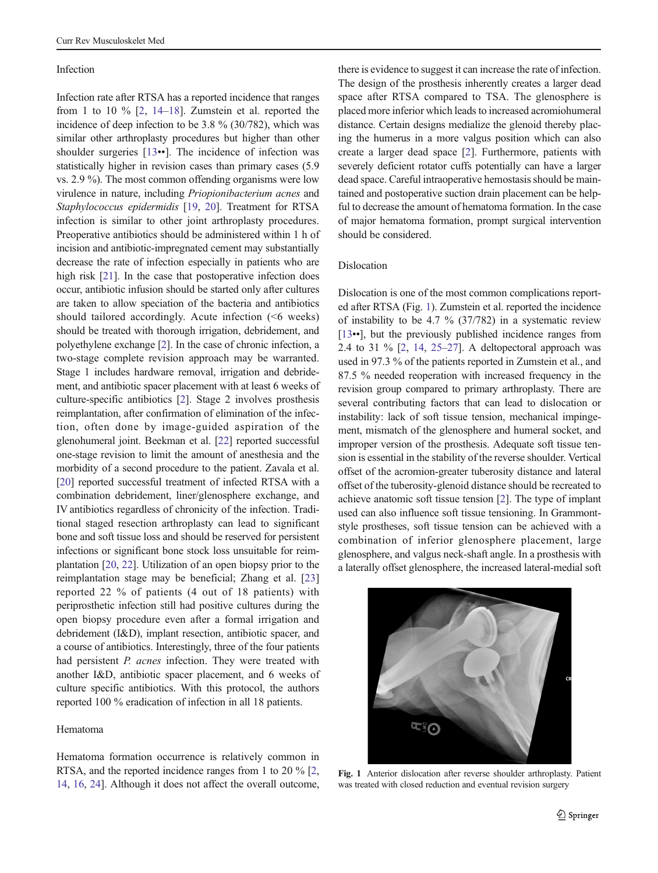#### Infection

Infection rate after RTSA has a reported incidence that ranges from 1 to 10  $\%$  [[2,](#page-5-0) [14](#page-6-0)–[18\]](#page-6-0). Zumstein et al. reported the incidence of deep infection to be 3.8 % (30/782), which was similar other arthroplasty procedures but higher than other shoulder surgeries [[13](#page-5-0)••]. The incidence of infection was statistically higher in revision cases than primary cases (5.9 vs. 2.9 %). The most common offending organisms were low virulence in nature, including Priopionibacterium acnes and Staphylococcus epidermidis [\[19](#page-6-0), [20\]](#page-6-0). Treatment for RTSA infection is similar to other joint arthroplasty procedures. Preoperative antibiotics should be administered within 1 h of incision and antibiotic-impregnated cement may substantially decrease the rate of infection especially in patients who are high risk [\[21](#page-6-0)]. In the case that postoperative infection does occur, antibiotic infusion should be started only after cultures are taken to allow speciation of the bacteria and antibiotics should tailored accordingly. Acute infection (<6 weeks) should be treated with thorough irrigation, debridement, and polyethylene exchange [\[2\]](#page-5-0). In the case of chronic infection, a two-stage complete revision approach may be warranted. Stage 1 includes hardware removal, irrigation and debridement, and antibiotic spacer placement with at least 6 weeks of culture-specific antibiotics [\[2](#page-5-0)]. Stage 2 involves prosthesis reimplantation, after confirmation of elimination of the infection, often done by image-guided aspiration of the glenohumeral joint. Beekman et al. [[22](#page-6-0)] reported successful one-stage revision to limit the amount of anesthesia and the morbidity of a second procedure to the patient. Zavala et al. [\[20\]](#page-6-0) reported successful treatment of infected RTSA with a combination debridement, liner/glenosphere exchange, and IV antibiotics regardless of chronicity of the infection. Traditional staged resection arthroplasty can lead to significant bone and soft tissue loss and should be reserved for persistent infections or significant bone stock loss unsuitable for reimplantation [\[20](#page-6-0), [22](#page-6-0)]. Utilization of an open biopsy prior to the reimplantation stage may be beneficial; Zhang et al. [[23\]](#page-6-0) reported 22 % of patients (4 out of 18 patients) with periprosthetic infection still had positive cultures during the open biopsy procedure even after a formal irrigation and debridement (I&D), implant resection, antibiotic spacer, and a course of antibiotics. Interestingly, three of the four patients had persistent *P. acnes* infection. They were treated with another I&D, antibiotic spacer placement, and 6 weeks of culture specific antibiotics. With this protocol, the authors reported 100 % eradication of infection in all 18 patients.

### Hematoma

Hematoma formation occurrence is relatively common in RTSA, and the reported incidence ranges from 1 to 20 % [[2,](#page-5-0) [14,](#page-6-0) [16](#page-6-0), [24](#page-6-0)]. Although it does not affect the overall outcome,

there is evidence to suggest it can increase the rate of infection. The design of the prosthesis inherently creates a larger dead space after RTSA compared to TSA. The glenosphere is placed more inferior which leads to increased acromiohumeral distance. Certain designs medialize the glenoid thereby placing the humerus in a more valgus position which can also create a larger dead space [\[2](#page-5-0)]. Furthermore, patients with severely deficient rotator cuffs potentially can have a larger dead space. Careful intraoperative hemostasis should be maintained and postoperative suction drain placement can be helpful to decrease the amount of hematoma formation. In the case of major hematoma formation, prompt surgical intervention should be considered.

## Dislocation

Dislocation is one of the most common complications reported after RTSA (Fig. 1). Zumstein et al. reported the incidence of instability to be 4.7  $\%$  (37/782) in a systematic review [\[13](#page-5-0)••], but the previously published incidence ranges from 2.4 to 31 % [[2,](#page-5-0) [14,](#page-6-0) [25](#page-6-0)–[27\]](#page-6-0). A deltopectoral approach was used in 97.3 % of the patients reported in Zumstein et al., and 87.5 % needed reoperation with increased frequency in the revision group compared to primary arthroplasty. There are several contributing factors that can lead to dislocation or instability: lack of soft tissue tension, mechanical impingement, mismatch of the glenosphere and humeral socket, and improper version of the prosthesis. Adequate soft tissue tension is essential in the stability of the reverse shoulder. Vertical offset of the acromion-greater tuberosity distance and lateral offset of the tuberosity-glenoid distance should be recreated to achieve anatomic soft tissue tension [[2\]](#page-5-0). The type of implant used can also influence soft tissue tensioning. In Grammontstyle prostheses, soft tissue tension can be achieved with a combination of inferior glenosphere placement, large glenosphere, and valgus neck-shaft angle. In a prosthesis with a laterally offset glenosphere, the increased lateral-medial soft



Fig. 1 Anterior dislocation after reverse shoulder arthroplasty. Patient was treated with closed reduction and eventual revision surgery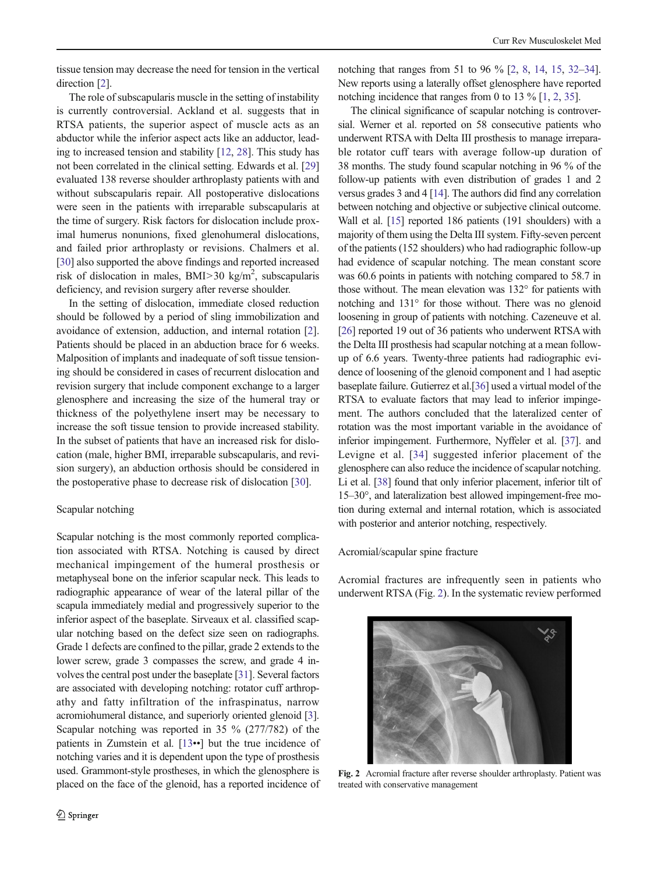tissue tension may decrease the need for tension in the vertical direction [\[2\]](#page-5-0).

The role of subscapularis muscle in the setting of instability is currently controversial. Ackland et al. suggests that in RTSA patients, the superior aspect of muscle acts as an abductor while the inferior aspect acts like an adductor, leading to increased tension and stability [[12](#page-5-0), [28](#page-6-0)]. This study has not been correlated in the clinical setting. Edwards et al. [\[29\]](#page-6-0) evaluated 138 reverse shoulder arthroplasty patients with and without subscapularis repair. All postoperative dislocations were seen in the patients with irreparable subscapularis at the time of surgery. Risk factors for dislocation include proximal humerus nonunions, fixed glenohumeral dislocations, and failed prior arthroplasty or revisions. Chalmers et al. [\[30\]](#page-6-0) also supported the above findings and reported increased risk of dislocation in males, BMI $>$ 30 kg/m<sup>2</sup>, subscapularis deficiency, and revision surgery after reverse shoulder.

In the setting of dislocation, immediate closed reduction should be followed by a period of sling immobilization and avoidance of extension, adduction, and internal rotation [[2\]](#page-5-0). Patients should be placed in an abduction brace for 6 weeks. Malposition of implants and inadequate of soft tissue tensioning should be considered in cases of recurrent dislocation and revision surgery that include component exchange to a larger glenosphere and increasing the size of the humeral tray or thickness of the polyethylene insert may be necessary to increase the soft tissue tension to provide increased stability. In the subset of patients that have an increased risk for dislocation (male, higher BMI, irreparable subscapularis, and revision surgery), an abduction orthosis should be considered in the postoperative phase to decrease risk of dislocation [[30](#page-6-0)].

#### Scapular notching

Scapular notching is the most commonly reported complication associated with RTSA. Notching is caused by direct mechanical impingement of the humeral prosthesis or metaphyseal bone on the inferior scapular neck. This leads to radiographic appearance of wear of the lateral pillar of the scapula immediately medial and progressively superior to the inferior aspect of the baseplate. Sirveaux et al. classified scapular notching based on the defect size seen on radiographs. Grade 1 defects are confined to the pillar, grade 2 extends to the lower screw, grade 3 compasses the screw, and grade 4 involves the central post under the baseplate [[31](#page-6-0)]. Several factors are associated with developing notching: rotator cuff arthropathy and fatty infiltration of the infraspinatus, narrow acromiohumeral distance, and superiorly oriented glenoid [[3\]](#page-5-0). Scapular notching was reported in 35 % (277/782) of the patients in Zumstein et al. [[13](#page-5-0)••] but the true incidence of notching varies and it is dependent upon the type of prosthesis used. Grammont-style prostheses, in which the glenosphere is placed on the face of the glenoid, has a reported incidence of notching that ranges from 51 to 96 % [\[2](#page-5-0), [8,](#page-5-0) [14](#page-6-0), [15,](#page-6-0) [32](#page-6-0)–[34\]](#page-6-0). New reports using a laterally offset glenosphere have reported notching incidence that ranges from 0 to 13 % [\[1,](#page-5-0) [2,](#page-5-0) [35](#page-6-0)].

The clinical significance of scapular notching is controversial. Werner et al. reported on 58 consecutive patients who underwent RTSA with Delta III prosthesis to manage irreparable rotator cuff tears with average follow-up duration of 38 months. The study found scapular notching in 96 % of the follow-up patients with even distribution of grades 1 and 2 versus grades 3 and 4 [\[14\]](#page-6-0). The authors did find any correlation between notching and objective or subjective clinical outcome. Wall et al. [\[15](#page-6-0)] reported 186 patients (191 shoulders) with a majority of them using the Delta III system. Fifty-seven percent of the patients (152 shoulders) who had radiographic follow-up had evidence of scapular notching. The mean constant score was 60.6 points in patients with notching compared to 58.7 in those without. The mean elevation was 132° for patients with notching and 131° for those without. There was no glenoid loosening in group of patients with notching. Cazeneuve et al. [\[26\]](#page-6-0) reported 19 out of 36 patients who underwent RTSA with the Delta III prosthesis had scapular notching at a mean followup of 6.6 years. Twenty-three patients had radiographic evidence of loosening of the glenoid component and 1 had aseptic baseplate failure. Gutierrez et al.[\[36\]](#page-6-0) used a virtual model of the RTSA to evaluate factors that may lead to inferior impingement. The authors concluded that the lateralized center of rotation was the most important variable in the avoidance of inferior impingement. Furthermore, Nyffeler et al. [\[37\]](#page-6-0). and Levigne et al. [[34](#page-6-0)] suggested inferior placement of the glenosphere can also reduce the incidence of scapular notching. Li et al. [\[38](#page-6-0)] found that only inferior placement, inferior tilt of 15–30°, and lateralization best allowed impingement-free motion during external and internal rotation, which is associated with posterior and anterior notching, respectively.

#### Acromial/scapular spine fracture

Acromial fractures are infrequently seen in patients who underwent RTSA (Fig. 2). In the systematic review performed



Fig. 2 Acromial fracture after reverse shoulder arthroplasty. Patient was treated with conservative management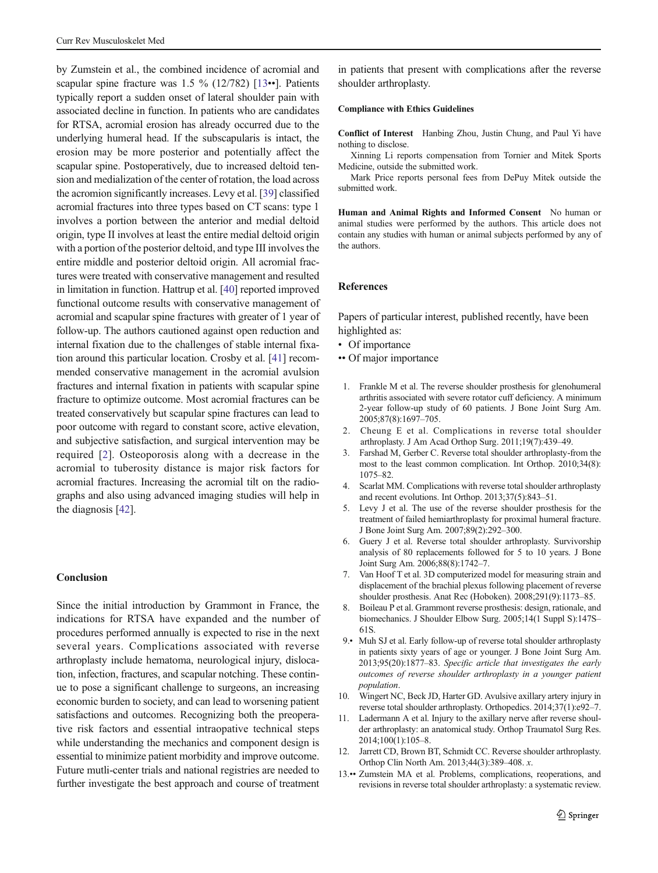<span id="page-5-0"></span>by Zumstein et al., the combined incidence of acromial and scapular spine fracture was 1.5 % (12/782) [13••]. Patients typically report a sudden onset of lateral shoulder pain with associated decline in function. In patients who are candidates for RTSA, acromial erosion has already occurred due to the underlying humeral head. If the subscapularis is intact, the erosion may be more posterior and potentially affect the scapular spine. Postoperatively, due to increased deltoid tension and medialization of the center of rotation, the load across the acromion significantly increases. Levy et al. [\[39\]](#page-6-0) classified acromial fractures into three types based on CT scans: type 1 involves a portion between the anterior and medial deltoid origin, type II involves at least the entire medial deltoid origin with a portion of the posterior deltoid, and type III involves the entire middle and posterior deltoid origin. All acromial fractures were treated with conservative management and resulted in limitation in function. Hattrup et al. [\[40](#page-6-0)] reported improved functional outcome results with conservative management of acromial and scapular spine fractures with greater of 1 year of follow-up. The authors cautioned against open reduction and internal fixation due to the challenges of stable internal fixation around this particular location. Crosby et al. [\[41\]](#page-6-0) recommended conservative management in the acromial avulsion fractures and internal fixation in patients with scapular spine fracture to optimize outcome. Most acromial fractures can be treated conservatively but scapular spine fractures can lead to poor outcome with regard to constant score, active elevation, and subjective satisfaction, and surgical intervention may be required [2]. Osteoporosis along with a decrease in the acromial to tuberosity distance is major risk factors for acromial fractures. Increasing the acromial tilt on the radiographs and also using advanced imaging studies will help in the diagnosis [[42\]](#page-6-0).

#### Conclusion

Since the initial introduction by Grammont in France, the indications for RTSA have expanded and the number of procedures performed annually is expected to rise in the next several years. Complications associated with reverse arthroplasty include hematoma, neurological injury, dislocation, infection, fractures, and scapular notching. These continue to pose a significant challenge to surgeons, an increasing economic burden to society, and can lead to worsening patient satisfactions and outcomes. Recognizing both the preoperative risk factors and essential intraopative technical steps while understanding the mechanics and component design is essential to minimize patient morbidity and improve outcome. Future mutli-center trials and national registries are needed to further investigate the best approach and course of treatment

in patients that present with complications after the reverse shoulder arthroplasty.

#### Compliance with Ethics Guidelines

Conflict of Interest Hanbing Zhou, Justin Chung, and Paul Yi have nothing to disclose.

Xinning Li reports compensation from Tornier and Mitek Sports Medicine, outside the submitted work.

Mark Price reports personal fees from DePuy Mitek outside the submitted work.

Human and Animal Rights and Informed Consent No human or animal studies were performed by the authors. This article does not contain any studies with human or animal subjects performed by any of the authors.

## References

Papers of particular interest, published recently, have been highlighted as:

- Of importance
- •• Of major importance
- 1. Frankle M et al. The reverse shoulder prosthesis for glenohumeral arthritis associated with severe rotator cuff deficiency. A minimum 2-year follow-up study of 60 patients. J Bone Joint Surg Am. 2005;87(8):1697–705.
- 2. Cheung E et al. Complications in reverse total shoulder arthroplasty. J Am Acad Orthop Surg. 2011;19(7):439–49.
- 3. Farshad M, Gerber C. Reverse total shoulder arthroplasty-from the most to the least common complication. Int Orthop. 2010;34(8): 1075–82.
- 4. Scarlat MM. Complications with reverse total shoulder arthroplasty and recent evolutions. Int Orthop. 2013;37(5):843–51.
- 5. Levy J et al. The use of the reverse shoulder prosthesis for the treatment of failed hemiarthroplasty for proximal humeral fracture. J Bone Joint Surg Am. 2007;89(2):292–300.
- 6. Guery J et al. Reverse total shoulder arthroplasty. Survivorship analysis of 80 replacements followed for 5 to 10 years. J Bone Joint Surg Am. 2006;88(8):1742–7.
- 7. Van Hoof T et al. 3D computerized model for measuring strain and displacement of the brachial plexus following placement of reverse shoulder prosthesis. Anat Rec (Hoboken). 2008;291(9):1173–85.
- 8. Boileau P et al. Grammont reverse prosthesis: design, rationale, and biomechanics. J Shoulder Elbow Surg. 2005;14(1 Suppl S):147S– 61S.
- 9.• Muh SJ et al. Early follow-up of reverse total shoulder arthroplasty in patients sixty years of age or younger. J Bone Joint Surg Am. 2013;95(20):1877–83. Specific article that investigates the early outcomes of reverse shoulder arthroplasty in a younger patient population.
- 10. Wingert NC, Beck JD, Harter GD. Avulsive axillary artery injury in reverse total shoulder arthroplasty. Orthopedics. 2014;37(1):e92–7.
- 11. Ladermann A et al. Injury to the axillary nerve after reverse shoulder arthroplasty: an anatomical study. Orthop Traumatol Surg Res. 2014;100(1):105–8.
- 12. Jarrett CD, Brown BT, Schmidt CC. Reverse shoulder arthroplasty. Orthop Clin North Am. 2013;44(3):389–408. x.
- 13.•• Zumstein MA et al. Problems, complications, reoperations, and revisions in reverse total shoulder arthroplasty: a systematic review.